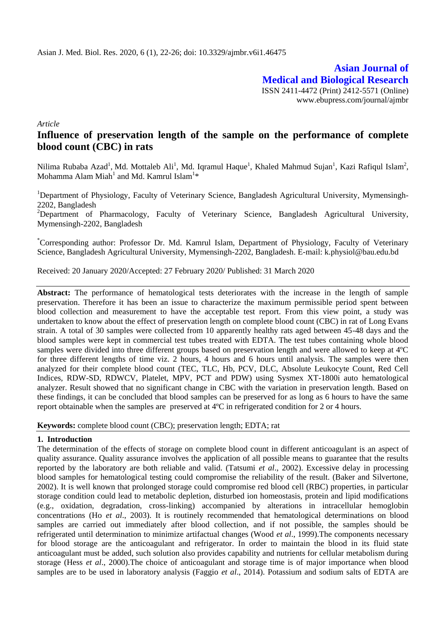**Asian Journal of Medical and Biological Research** ISSN 2411-4472 (Print) 2412-5571 (Online) www.ebupress.com/journal/ajmbr

*Article*

# **Influence of preservation length of the sample on the performance of complete blood count (CBC) in rats**

Nilima Rubaba Azad<sup>1</sup>, Md. Mottaleb Ali<sup>1</sup>, Md. Iqramul Haque<sup>1</sup>, Khaled Mahmud Sujan<sup>1</sup>, Kazi Rafiqul Islam<sup>2</sup>, Mohamma Alam Miah $^{\rm l}$  and Md. Kamrul Islam $^{\rm l} \ast$ 

<sup>1</sup>Department of Physiology, Faculty of Veterinary Science, Bangladesh Agricultural University, Mymensingh-2202, Bangladesh

<sup>2</sup>Department of Pharmacology, Faculty of Veterinary Science, Bangladesh Agricultural University, Mymensingh-2202, Bangladesh

\*Corresponding author: Professor Dr. Md. Kamrul Islam, Department of Physiology, Faculty of Veterinary Science, Bangladesh Agricultural University, Mymensingh-2202, Bangladesh. E-mail: [k.physiol@bau.edu.bd](mailto:k.physiol@bau.edu.bd)

Received: 20 January 2020/Accepted: 27 February 2020/ Published: 31 March 2020

**Abstract:** The performance of hematological tests deteriorates with the increase in the length of sample preservation. Therefore it has been an issue to characterize the maximum permissible period spent between blood collection and measurement to have the acceptable test report. From this view point, a study was undertaken to know about the effect of preservation length on complete blood count (CBC) in rat of Long Evans strain. A total of 30 samples were collected from 10 apparently healthy rats aged between 45-48 days and the blood samples were kept in commercial test tubes treated with EDTA. The test tubes containing whole blood samples were divided into three different groups based on preservation length and were allowed to keep at 4ºC for three different lengths of time viz. 2 hours, 4 hours and 6 hours until analysis. The samples were then analyzed for their complete blood count (TEC, TLC, Hb, PCV, DLC, Absolute Leukocyte Count, Red Cell Indices, RDW-SD, RDWCV, Platelet, MPV, PCT and PDW) using Sysmex XT-1800i auto hematological analyzer. Result showed that no significant change in CBC with the variation in preservation length. Based on these findings, it can be concluded that blood samples can be preserved for as long as 6 hours to have the same report obtainable when the samples are preserved at 4ºC in refrigerated condition for 2 or 4 hours.

**Keywords:** complete blood count (CBC); preservation length; EDTA; rat

#### **1. Introduction**

The determination of the effects of storage on complete blood count in different anticoagulant is an aspect of quality assurance. Quality assurance involves the application of all possible means to guarantee that the results reported by the laboratory are both reliable and valid. (Tatsumi *et al*., 2002). Excessive delay in processing blood samples for hematological testing could compromise the reliability of the result. (Baker and Silvertone, 2002). It is well known that prolonged storage could compromise red blood cell (RBC) properties, in particular storage condition could lead to metabolic depletion, disturbed ion homeostasis, protein and lipid modifications (e.g., oxidation, degradation, cross-linking) accompanied by alterations in intracellular hemoglobin concentrations (Ho *et al*., 2003). It is routinely recommended that hematological determinations on blood samples are carried out immediately after blood collection, and if not possible, the samples should be refrigerated until determination to minimize artifactual changes (Wood *et al*., 1999).The components necessary for blood storage are the anticoagulant and refrigerator. In order to maintain the blood in its fluid state anticoagulant must be added, such solution also provides capability and nutrients for cellular metabolism during storage (Hess *et al*., 2000).The choice of anticoagulant and storage time is of major importance when blood samples are to be used in laboratory analysis (Faggio *et al*., 2014). Potassium and sodium salts of EDTA are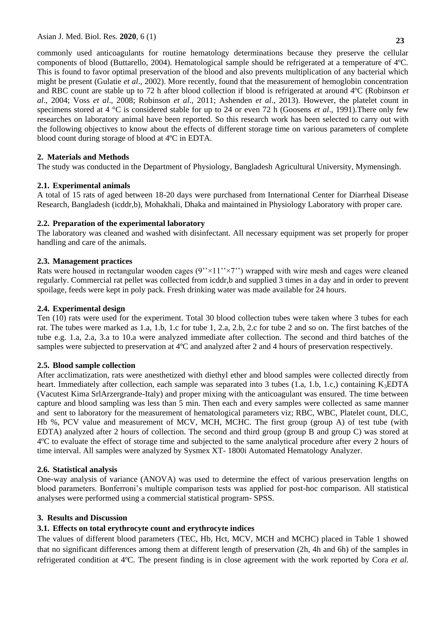commonly used anticoagulants for routine hematology determinations because they preserve the cellular components of blood (Buttarello, 2004). Hematological sample should be refrigerated at a temperature of 4ºC. This is found to favor optimal preservation of the blood and also prevents multiplication of any bacterial which might be present (Gulatie *et al*., 2002). More recently, found that the measurement of hemoglobin concentration and RBC count are stable up to 72 h after blood collection if blood is refrigerated at around 4ºC (Robinson *et al*., 2004; Voss *et al*., 2008; Robinson *et al*., 2011; Ashenden *et al*., 2013). However, the platelet count in specimens stored at 4 °C is considered stable for up to 24 or even 72 h (Goosens *et al*., 1991).There only few researches on laboratory animal have been reported. So this research work has been selected to carry out with the following objectives to know about the effects of different storage time on various parameters of complete blood count during storage of blood at 4ºC in EDTA.

## **2. Materials and Methods**

The study was conducted in the Department of Physiology, Bangladesh Agricultural University, Mymensingh.

## **2.1. Experimental animals**

A total of 15 rats of aged between 18-20 days were purchased from International Center for Diarrheal Disease Research, Bangladesh (icddr,b), Mohakhali, Dhaka and maintained in Physiology Laboratory with proper care.

## **2.2. Preparation of the experimental laboratory**

The laboratory was cleaned and washed with disinfectant. All necessary equipment was set properly for proper handling and care of the animals.

#### **2.3. Management practices**

Rats were housed in rectangular wooden cages  $(9'' \times 11'' \times 7'')$  wrapped with wire mesh and cages were cleaned regularly. Commercial rat pellet was collected from icddr,b and supplied 3 times in a day and in order to prevent spoilage, feeds were kept in poly pack. Fresh drinking water was made available for 24 hours.

## **2.4. Experimental design**

Ten (10) rats were used for the experiment. Total 30 blood collection tubes were taken where 3 tubes for each rat. The tubes were marked as 1.a, 1.b, 1.c for tube 1, 2.a, 2.b, 2.c for tube 2 and so on. The first batches of the tube e.g. 1.a, 2.a, 3.a to 10.a were analyzed immediate after collection. The second and third batches of the samples were subjected to preservation at 4ºC and analyzed after 2 and 4 hours of preservation respectively.

#### **2.5. Blood sample collection**

After acclimatization, rats were anesthetized with diethyl ether and blood samples were collected directly from heart. Immediately after collection, each sample was separated into 3 tubes (1.a, 1.b, 1.c,) containing  $K_3EDTA$ (Vacutest Kima SrlArzergrande-Italy) and proper mixing with the anticoagulant was ensured. The time between capture and blood sampling was less than 5 min. Then each and every samples were collected as same manner and sent to laboratory for the measurement of hematological parameters viz; RBC, WBC, Platelet count, DLC, Hb %, PCV value and measurement of MCV, MCH, MCHC. The first group (group A) of test tube (with EDTA) analyzed after 2 hours of collection. The second and third group (group B and group C) was stored at 4ºC to evaluate the effect of storage time and subjected to the same analytical procedure after every 2 hours of time interval. All samples were analyzed by Sysmex XT- 1800i Automated Hematology Analyzer.

#### **2.6. Statistical analysis**

One-way analysis of variance (ANOVA) was used to determine the effect of various preservation lengths on blood parameters. Bonferroni's multiple comparison tests was applied for post-hoc comparison. All statistical analyses were performed using a commercial statistical program- SPSS.

#### **3. Results and Discussion**

## **3.1. Effects on total erythrocyte count and erythrocyte indices**

The values of different blood parameters (TEC, Hb, Hct, MCV, MCH and MCHC) placed in Table 1 showed that no significant differences among them at different length of preservation (2h, 4h and 6h) of the samples in refrigerated condition at 4ºC. The present finding is in close agreement with the work reported by Cora *et al.*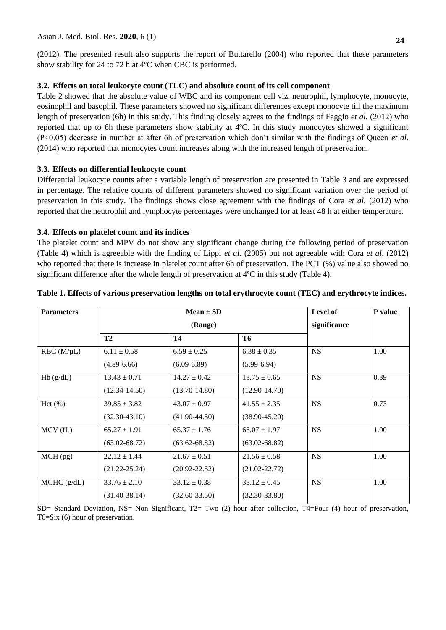(2012). The presented result also supports the report of Buttarello (2004) who reported that these parameters show stability for 24 to 72 h at 4ºC when CBC is performed.

#### **3.2. Effects on total leukocyte count (TLC) and absolute count of its cell component**

Table 2 showed that the absolute value of WBC and its component cell viz. neutrophil, lymphocyte, monocyte, eosinophil and basophil. These parameters showed no significant differences except monocyte till the maximum length of preservation (6h) in this study. This finding closely agrees to the findings of Faggio *et al.* (2012) who reported that up to 6h these parameters show stability at 4ºC. In this study monocytes showed a significant (P<0.05) decrease in number at after 6h of preservation which don't similar with the findings of Queen *et al*. (2014) who reported that monocytes count increases along with the increased length of preservation.

## **3.3. Effects on differential leukocyte count**

Differential leukocyte counts after a variable length of preservation are presented in Table 3 and are expressed in percentage. The relative counts of different parameters showed no significant variation over the period of preservation in this study. The findings shows close agreement with the findings of Cora *et al.* (2012) who reported that the neutrophil and lymphocyte percentages were unchanged for at least 48 h at either temperature.

## **3.4. Effects on platelet count and its indices**

The platelet count and MPV do not show any significant change during the following period of preservation (Table 4) which is agreeable with the finding of Lippi *et al.* (2005) but not agreeable with Cora *et al*. (2012) who reported that there is increase in platelet count after 6h of preservation. The PCT (%) value also showed no significant difference after the whole length of preservation at 4ºC in this study (Table 4).

| <b>Parameters</b> | $Mean \pm SD$<br>(Range) |                   |                   | Level of     | P value |
|-------------------|--------------------------|-------------------|-------------------|--------------|---------|
|                   |                          |                   |                   | significance |         |
|                   | T <sub>2</sub>           | Т4                | <b>T6</b>         |              |         |
| $RBC (M/\mu L)$   | $6.11 \pm 0.58$          | $6.59 \pm 0.25$   | $6.38 \pm 0.35$   | <b>NS</b>    | 1.00    |
|                   | $(4.89 - 6.66)$          | $(6.09 - 6.89)$   | $(5.99 - 6.94)$   |              |         |
| Hb(g/dL)          | $13.43 \pm 0.71$         | $14.27 \pm 0.42$  | $13.75 \pm 0.65$  | <b>NS</b>    | 0.39    |
|                   | $(12.34 - 14.50)$        | $(13.70 - 14.80)$ | $(12.90-14.70)$   |              |         |
| Hct (%)           | $39.85 \pm 3.82$         | $43.07 \pm 0.97$  | $41.55 \pm 2.35$  | NS           | 0.73    |
|                   | $(32.30 - 43.10)$        | $(41.90 - 44.50)$ | $(38.90 - 45.20)$ |              |         |
| MCV(fL)           | $65.27 \pm 1.91$         | $65.37 \pm 1.76$  | $65.07 \pm 1.97$  | <b>NS</b>    | 1.00    |
|                   | $(63.02 - 68.72)$        | $(63.62 - 68.82)$ | $(63.02 - 68.82)$ |              |         |
| $MCH$ (pg)        | $22.12 \pm 1.44$         | $21.67 \pm 0.51$  | $21.56 \pm 0.58$  | NS           | 1.00    |
|                   | $(21.22 - 25.24)$        | $(20.92 - 22.52)$ | $(21.02 - 22.72)$ |              |         |
| MCHC (g/dL)       | $33.76 \pm 2.10$         | $33.12 \pm 0.38$  | $33.12 \pm 0.45$  | NS           | 1.00    |
|                   | $(31.40-38.14)$          | $(32.60 - 33.50)$ | $(32.30 - 33.80)$ |              |         |

#### **Table 1. Effects of various preservation lengths on total erythrocyte count (TEC) and erythrocyte indices.**

SD= Standard Deviation, NS= Non Significant, T2= Two (2) hour after collection, T4=Four (4) hour of preservation, T6=Six (6) hour of preservation.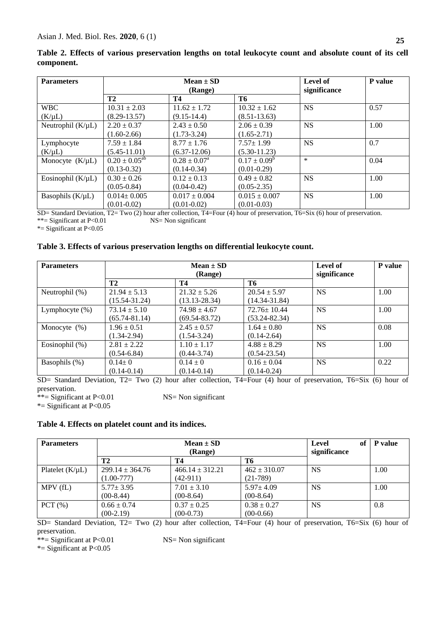| <b>Parameters</b>      | $Mean \pm SD$<br>(Range) |                         |                   | Level of<br>significance | <b>P</b> value |
|------------------------|--------------------------|-------------------------|-------------------|--------------------------|----------------|
|                        | <b>T2</b>                | <b>T4</b>               | T6                |                          |                |
| <b>WBC</b>             | $10.31 \pm 2.03$         | $11.62 \pm 1.72$        | $10.32 \pm 1.62$  | <b>NS</b>                | 0.57           |
| $(K/\mu L)$            | $(8.29 - 13.57)$         | $(9.15-14.4)$           | $(8.51 - 13.63)$  |                          |                |
| Neutrophil $(K/\mu L)$ | $2.20 \pm 0.37$          | $2.43 \pm 0.50$         | $2.06 \pm 0.39$   | <b>NS</b>                | 1.00           |
|                        | $(1.60-2.66)$            | $(1.73 - 3.24)$         | $(1.65 - 2.71)$   |                          |                |
| Lymphocyte             | $7.59 \pm 1.84$          | $8.77 \pm 1.76$         | $7.57 \pm 1.99$   | <b>NS</b>                | 0.7            |
| $(K/\mu L)$            | $(5.45 - 11.01)$         | $(6.37-12.06)$          | $(5.30-11.23)$    |                          |                |
| Monocyte $(K/\mu L)$   | $0.20 \pm 0.05^{ab}$     | $0.28 \pm 0.07^{\rm a}$ | $0.17 \pm 0.09^b$ | $\ast$                   | 0.04           |
|                        | $(0.13 - 0.32)$          | $(0.14 - 0.34)$         | $(0.01 - 0.29)$   |                          |                |
| Eosinophil $(K/\mu L)$ | $0.30 \pm 0.26$          | $0.12 \pm 0.13$         | $0.49 \pm 0.82$   | <b>NS</b>                | 1.00           |
|                        | $(0.05 - 0.84)$          | $(0.04 - 0.42)$         | $(0.05 - 2.35)$   |                          |                |
| Basophils $(K/\mu L)$  | $0.014 \pm 0.005$        | $0.017 \pm 0.004$       | $0.015 \pm 0.007$ | <b>NS</b>                | 1.00           |
|                        | $(0.01 - 0.02)$          | $(0.01 - 0.02)$         | $(0.01 - 0.03)$   |                          |                |

**Table 2. Effects of various preservation lengths on total leukocyte count and absolute count of its cell component.**

SD= Standard Deviation, T2= Two (2) hour after collection, T4=Four (4) hour of preservation, T6=Six (6) hour of preservation.<br>\*\*= Significant at P<0.01 NS= Non significant \*\*= Significant at  $P<0.01$ 

\*= Significant at P<0.05

#### **Table 3. Effects of various preservation lengths on differential leukocyte count.**

| <b>Parameters</b> | $Mean \pm SD$<br>(Range)<br><b>T2</b><br>T4<br>T6 |                   |                   | Level of     | P value |
|-------------------|---------------------------------------------------|-------------------|-------------------|--------------|---------|
|                   |                                                   |                   |                   | significance |         |
| Neutrophil (%)    | $21.94 \pm 5.13$                                  | $21.32 \pm 5.26$  | $20.54 \pm 5.97$  | <b>NS</b>    | 1.00    |
|                   | $(15.54 - 31.24)$                                 | $(13.13 - 28.34)$ | $(14.34 - 31.84)$ |              |         |
| Lymphocyte $(\%)$ | $73.14 \pm 5.10$                                  | $74.98 \pm 4.67$  | $72.76 \pm 10.44$ | <b>NS</b>    | 1.00    |
|                   | $(65.74 - 81.14)$                                 | $(69.54 - 83.72)$ | (53.24-82.34)     |              |         |
| Monocyte $(\%)$   | $1.96 \pm 0.51$                                   | $2.45 \pm 0.57$   | $1.64 \pm 0.80$   | <b>NS</b>    | 0.08    |
|                   | $(1.34 - 2.94)$                                   | $(1.54 - 3.24)$   | $(0.14 - 2.64)$   |              |         |
| Eosinophil (%)    | $2.81 \pm 2.22$                                   | $1.10 \pm 1.17$   | $4.88 \pm 8.29$   | <b>NS</b>    | 1.00    |
|                   | $(0.54 - 6.84)$                                   | $(0.44 - 3.74)$   | $(0.54 - 23.54)$  |              |         |
| Basophils (%)     | $0.14 \pm 0$                                      | $0.14 \pm 0$      | $0.16 \pm 0.04$   | <b>NS</b>    | 0.22    |
|                   | $(0.14 - 0.14)$                                   | $(0.14 - 0.14)$   | $(0.14 - 0.24)$   |              |         |

SD= Standard Deviation, T2= Two (2) hour after collection, T4=Four (4) hour of preservation, T6=Six (6) hour of preservation.

 $**$ = Significant at P<0.01 NS= Non significant

\*= Significant at P<0.05

#### **Table 4. Effects on platelet count and its indices.**

| <b>Parameters</b>    | $Mean \pm SD$<br>(Range) |                     |                  | Level<br>of<br>significance | <b>P</b> value |
|----------------------|--------------------------|---------------------|------------------|-----------------------------|----------------|
|                      | <b>T2</b>                | T4                  | T6               |                             |                |
| Platelet $(K/\mu L)$ | $299.14 \pm 364.76$      | $466.14 \pm 312.21$ | $462 \pm 310.07$ | <b>NS</b>                   | 1.00           |
|                      | $(1.00 - 777)$           | $(42-911)$          | $(21-789)$       |                             |                |
| MPV(fL)              | $5.77 \pm 3.95$          | $7.01 \pm 3.10$     | $5.97 \pm 4.09$  | <b>NS</b>                   | 1.00           |
|                      | $(00-8.44)$              | $(00-8.64)$         | $(00-8.64)$      |                             |                |
| PCT(%)               | $0.66 \pm 0.74$          | $0.37 \pm 0.25$     | $0.38 \pm 0.27$  | <b>NS</b>                   | 0.8            |
|                      | $(00-2.19)$              | $(00-0.73)$         | $(00-0.66)$      |                             |                |

SD= Standard Deviation, T2= Two (2) hour after collection, T4=Four (4) hour of preservation, T6=Six (6) hour of preservation.

\*\*= Significant at P<0.01 NS= Non significant

\*= Significant at P<0.05